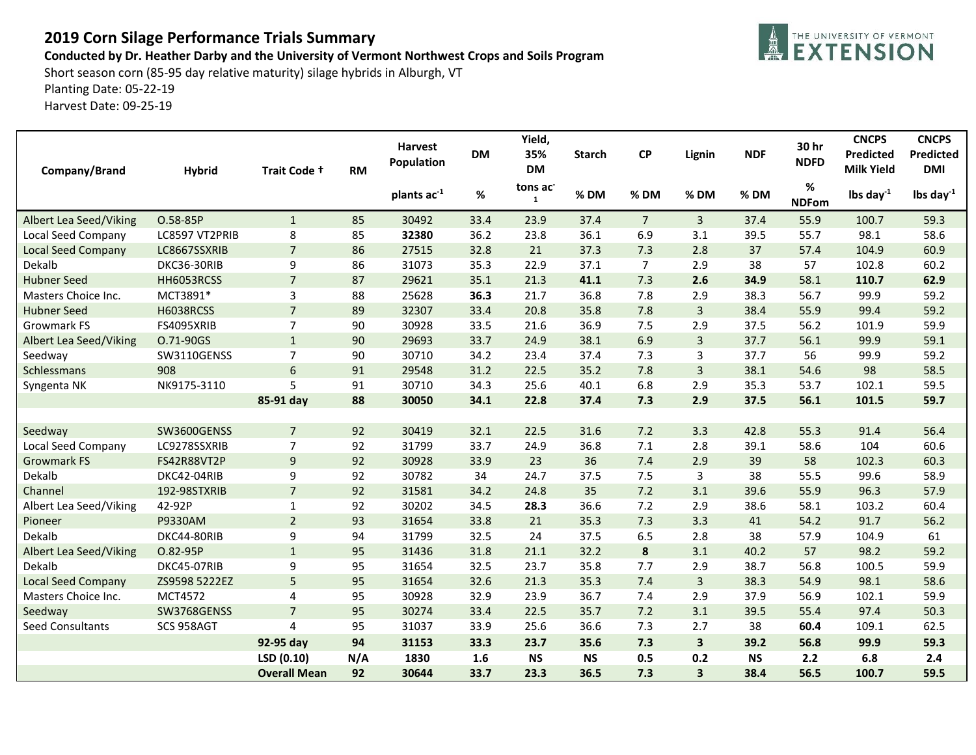## **2019 Corn Silage Performance Trials Summary**

## **Conducted by Dr. Heather Darby and the University of Vermont Northwest Crops and Soils Program**

EXTENSION

Short season corn (85-95 day relative maturity) silage hybrids in Alburgh, VT Planting Date: 05-22-19 Harvest Date: 09-25-19

| Company/Brand             | <b>Hybrid</b>      | Trait Code +        | <b>RM</b> | Harvest<br>Population | <b>DM</b> | Yield,<br>35%<br><b>DM</b> | <b>Starch</b> | <b>CP</b>        | Lignin                  | <b>NDF</b> | 30 hr<br><b>NDFD</b> | <b>CNCPS</b><br><b>Predicted</b><br><b>Milk Yield</b> | <b>CNCPS</b><br><b>Predicted</b><br><b>DMI</b> |
|---------------------------|--------------------|---------------------|-----------|-----------------------|-----------|----------------------------|---------------|------------------|-------------------------|------------|----------------------|-------------------------------------------------------|------------------------------------------------|
|                           |                    |                     |           | plants ac-1           | $\%$      | tons ac<br>$\mathbf{1}$    | %DM           | %DM              | %DM                     | % DM       | %<br><b>NDFom</b>    | lbs day $^{-1}$                                       | lbs day $^{-1}$                                |
| Albert Lea Seed/Viking    | O.58-85P           | $\mathbf{1}$        | 85        | 30492                 | 33.4      | 23.9                       | 37.4          | $\overline{7}$   | 3                       | 37.4       | 55.9                 | 100.7                                                 | 59.3                                           |
| Local Seed Company        | LC8597 VT2PRIB     | 8                   | 85        | 32380                 | 36.2      | 23.8                       | 36.1          | 6.9              | 3.1                     | 39.5       | 55.7                 | 98.1                                                  | 58.6                                           |
| <b>Local Seed Company</b> | LC8667SSXRIB       | $\overline{7}$      | 86        | 27515                 | 32.8      | 21                         | 37.3          | 7.3              | 2.8                     | 37         | 57.4                 | 104.9                                                 | 60.9                                           |
| Dekalb                    | DKC36-30RIB        | 9                   | 86        | 31073                 | 35.3      | 22.9                       | 37.1          | $\overline{7}$   | 2.9                     | 38         | 57                   | 102.8                                                 | 60.2                                           |
| <b>Hubner Seed</b>        | HH6053RCSS         | $\overline{7}$      | 87        | 29621                 | 35.1      | 21.3                       | 41.1          | 7.3              | 2.6                     | 34.9       | 58.1                 | 110.7                                                 | 62.9                                           |
| Masters Choice Inc.       | MCT3891*           | 3                   | 88        | 25628                 | 36.3      | 21.7                       | 36.8          | 7.8              | 2.9                     | 38.3       | 56.7                 | 99.9                                                  | 59.2                                           |
| <b>Hubner Seed</b>        | <b>H6038RCSS</b>   | $\overline{7}$      | 89        | 32307                 | 33.4      | 20.8                       | 35.8          | 7.8              | 3                       | 38.4       | 55.9                 | 99.4                                                  | 59.2                                           |
| Growmark FS               | FS4095XRIB         | $\overline{7}$      | 90        | 30928                 | 33.5      | 21.6                       | 36.9          | 7.5              | 2.9                     | 37.5       | 56.2                 | 101.9                                                 | 59.9                                           |
| Albert Lea Seed/Viking    | O.71-90GS          | $\mathbf{1}$        | 90        | 29693                 | 33.7      | 24.9                       | 38.1          | 6.9              | 3                       | 37.7       | 56.1                 | 99.9                                                  | 59.1                                           |
| Seedway                   | SW3110GENSS        | $\overline{7}$      | 90        | 30710                 | 34.2      | 23.4                       | 37.4          | 7.3              | 3                       | 37.7       | 56                   | 99.9                                                  | 59.2                                           |
| Schlessmans               | 908                | $6\phantom{a}$      | 91        | 29548                 | 31.2      | 22.5                       | 35.2          | 7.8              | 3                       | 38.1       | 54.6                 | 98                                                    | 58.5                                           |
| Syngenta NK               | NK9175-3110        | 5                   | 91        | 30710                 | 34.3      | 25.6                       | 40.1          | 6.8              | 2.9                     | 35.3       | 53.7                 | 102.1                                                 | 59.5                                           |
|                           |                    | 85-91 day           | 88        | 30050                 | 34.1      | 22.8                       | 37.4          | 7.3              | 2.9                     | 37.5       | 56.1                 | 101.5                                                 | 59.7                                           |
|                           |                    |                     |           |                       |           |                            |               |                  |                         |            |                      |                                                       |                                                |
| Seedway                   | SW3600GENSS        | $\overline{7}$      | 92        | 30419                 | 32.1      | 22.5                       | 31.6          | 7.2              | 3.3                     | 42.8       | 55.3                 | 91.4                                                  | 56.4                                           |
| <b>Local Seed Company</b> | LC9278SSXRIB       | $\overline{7}$      | 92        | 31799                 | 33.7      | 24.9                       | 36.8          | 7.1              | 2.8                     | 39.1       | 58.6                 | 104                                                   | 60.6                                           |
| <b>Growmark FS</b>        | <b>FS42R88VT2P</b> | 9                   | 92        | 30928                 | 33.9      | 23                         | 36            | 7.4              | 2.9                     | 39         | 58                   | 102.3                                                 | 60.3                                           |
| Dekalb                    | DKC42-04RIB        | 9                   | 92        | 30782                 | 34        | 24.7                       | 37.5          | 7.5              | 3                       | 38         | 55.5                 | 99.6                                                  | 58.9                                           |
| Channel                   | 192-98STXRIB       | $\overline{7}$      | 92        | 31581                 | 34.2      | 24.8                       | 35            | 7.2              | 3.1                     | 39.6       | 55.9                 | 96.3                                                  | 57.9                                           |
| Albert Lea Seed/Viking    | 42-92P             | $\mathbf{1}$        | 92        | 30202                 | 34.5      | 28.3                       | 36.6          | 7.2              | 2.9                     | 38.6       | 58.1                 | 103.2                                                 | 60.4                                           |
| Pioneer                   | P9330AM            | $\overline{2}$      | 93        | 31654                 | 33.8      | 21                         | 35.3          | 7.3              | 3.3                     | 41         | 54.2                 | 91.7                                                  | 56.2                                           |
| Dekalb                    | DKC44-80RIB        | 9                   | 94        | 31799                 | 32.5      | 24                         | 37.5          | 6.5              | 2.8                     | 38         | 57.9                 | 104.9                                                 | 61                                             |
| Albert Lea Seed/Viking    | O.82-95P           | $\mathbf 1$         | 95        | 31436                 | 31.8      | 21.1                       | 32.2          | $\boldsymbol{8}$ | 3.1                     | 40.2       | 57                   | 98.2                                                  | 59.2                                           |
| Dekalb                    | DKC45-07RIB        | 9                   | 95        | 31654                 | 32.5      | 23.7                       | 35.8          | 7.7              | 2.9                     | 38.7       | 56.8                 | 100.5                                                 | 59.9                                           |
| <b>Local Seed Company</b> | ZS9598 5222EZ      | 5                   | 95        | 31654                 | 32.6      | 21.3                       | 35.3          | 7.4              | $\overline{3}$          | 38.3       | 54.9                 | 98.1                                                  | 58.6                                           |
| Masters Choice Inc.       | MCT4572            | $\overline{4}$      | 95        | 30928                 | 32.9      | 23.9                       | 36.7          | 7.4              | 2.9                     | 37.9       | 56.9                 | 102.1                                                 | 59.9                                           |
| Seedway                   | SW3768GENSS        | $\overline{7}$      | 95        | 30274                 | 33.4      | 22.5                       | 35.7          | 7.2              | 3.1                     | 39.5       | 55.4                 | 97.4                                                  | 50.3                                           |
| <b>Seed Consultants</b>   | SCS 958AGT         | $\overline{4}$      | 95        | 31037                 | 33.9      | 25.6                       | 36.6          | 7.3              | 2.7                     | 38         | 60.4                 | 109.1                                                 | 62.5                                           |
|                           |                    | 92-95 day           | 94        | 31153                 | 33.3      | 23.7                       | 35.6          | 7.3              | 3                       | 39.2       | 56.8                 | 99.9                                                  | 59.3                                           |
|                           |                    | LSD (0.10)          | N/A       | 1830                  | 1.6       | <b>NS</b>                  | <b>NS</b>     | 0.5              | 0.2                     | <b>NS</b>  | 2.2                  | 6.8                                                   | 2.4                                            |
|                           |                    | <b>Overall Mean</b> | 92        | 30644                 | 33.7      | 23.3                       | 36.5          | 7.3              | $\overline{\mathbf{3}}$ | 38.4       | 56.5                 | 100.7                                                 | 59.5                                           |